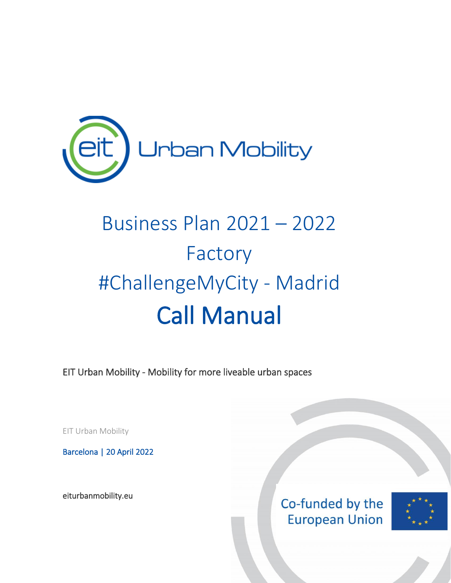

# Business Plan 2021 – 2022 Factory #ChallengeMyCity - Madrid Call Manual

EIT Urban Mobility - Mobility for more liveable urban spaces

EIT Urban Mobility

Barcelona | 20 April 2022

[eiturbanmobility.eu](http://www.eiturbanmobility.eu/) 

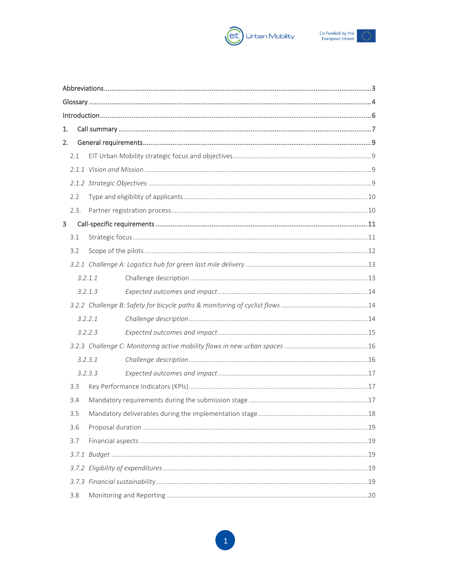



| 1.   |         |  |  |  |
|------|---------|--|--|--|
| 2.   |         |  |  |  |
| 2.1  |         |  |  |  |
|      |         |  |  |  |
|      |         |  |  |  |
| 2.2  |         |  |  |  |
| 2.3. |         |  |  |  |
| 3    |         |  |  |  |
| 3.1  |         |  |  |  |
| 3.2  |         |  |  |  |
|      |         |  |  |  |
|      | 3.2.1.1 |  |  |  |
|      | 3.2.1.3 |  |  |  |
|      |         |  |  |  |
|      | 3.2.2.1 |  |  |  |
|      | 3.2.2.3 |  |  |  |
|      |         |  |  |  |
|      | 3.2.3.1 |  |  |  |
|      | 3.2.3.3 |  |  |  |
| 3.3  |         |  |  |  |
| 3.4  |         |  |  |  |
| 3.5  |         |  |  |  |
| 3.6  |         |  |  |  |
| 3.7  |         |  |  |  |
|      |         |  |  |  |
|      |         |  |  |  |
|      |         |  |  |  |
| 3.8  |         |  |  |  |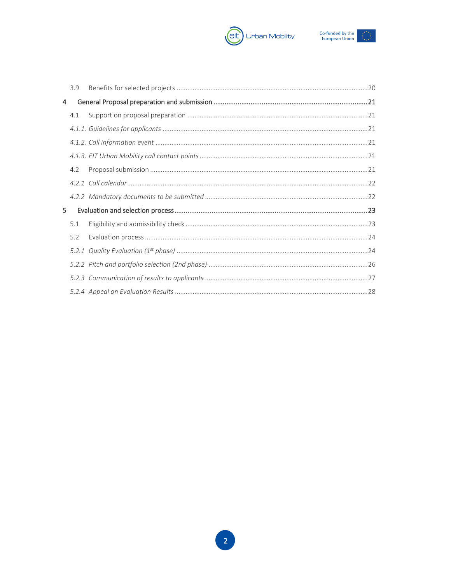



|    | 3.9 |  |
|----|-----|--|
| 4  |     |  |
|    | 4.1 |  |
|    |     |  |
|    |     |  |
|    |     |  |
|    | 4.2 |  |
|    |     |  |
|    |     |  |
| 5. |     |  |
|    | 5.1 |  |
|    | 5.2 |  |
|    |     |  |
|    |     |  |
|    |     |  |
|    |     |  |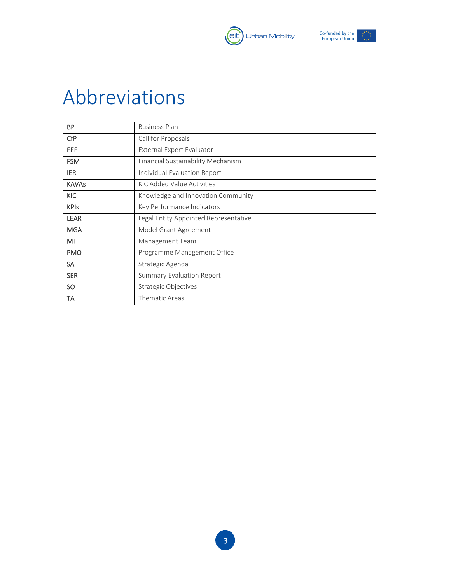



# <span id="page-3-0"></span>Abbreviations

| <b>BP</b>    | <b>Business Plan</b>                  |  |
|--------------|---------------------------------------|--|
| <b>CfP</b>   | Call for Proposals                    |  |
| EEE          | External Expert Evaluator             |  |
| <b>FSM</b>   | Financial Sustainability Mechanism    |  |
| <b>IER</b>   | Individual Evaluation Report          |  |
| <b>KAVAs</b> | KIC Added Value Activities            |  |
| <b>KIC</b>   | Knowledge and Innovation Community    |  |
| <b>KPIs</b>  | Key Performance Indicators            |  |
| <b>LEAR</b>  | Legal Entity Appointed Representative |  |
| <b>MGA</b>   | Model Grant Agreement                 |  |
| MT           | Management Team                       |  |
| <b>PMO</b>   | Programme Management Office           |  |
| <b>SA</b>    | Strategic Agenda                      |  |
| <b>SER</b>   | <b>Summary Evaluation Report</b>      |  |
| SO.          | <b>Strategic Objectives</b>           |  |
| TA           | Thematic Areas                        |  |

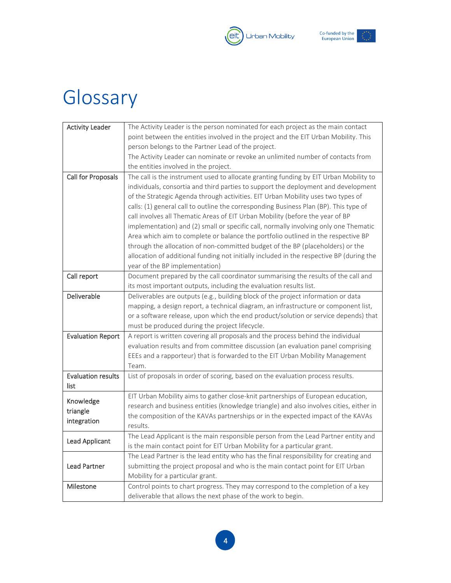



# <span id="page-4-0"></span>Glossary

| <b>Activity Leader</b>    | The Activity Leader is the person nominated for each project as the main contact         |  |  |
|---------------------------|------------------------------------------------------------------------------------------|--|--|
|                           | point between the entities involved in the project and the EIT Urban Mobility. This      |  |  |
|                           | person belongs to the Partner Lead of the project.                                       |  |  |
|                           | The Activity Leader can nominate or revoke an unlimited number of contacts from          |  |  |
|                           | the entities involved in the project.                                                    |  |  |
| <b>Call for Proposals</b> | The call is the instrument used to allocate granting funding by EIT Urban Mobility to    |  |  |
|                           | individuals, consortia and third parties to support the deployment and development       |  |  |
|                           | of the Strategic Agenda through activities. EIT Urban Mobility uses two types of         |  |  |
|                           | calls: (1) general call to outline the corresponding Business Plan (BP). This type of    |  |  |
|                           | call involves all Thematic Areas of EIT Urban Mobility (before the year of BP            |  |  |
|                           | implementation) and (2) small or specific call, normally involving only one Thematic     |  |  |
|                           | Area which aim to complete or balance the portfolio outlined in the respective BP        |  |  |
|                           | through the allocation of non-committed budget of the BP (placeholders) or the           |  |  |
|                           | allocation of additional funding not initially included in the respective BP (during the |  |  |
|                           | year of the BP implementation)                                                           |  |  |
| Call report               | Document prepared by the call coordinator summarising the results of the call and        |  |  |
|                           | its most important outputs, including the evaluation results list.                       |  |  |
| Deliverable               | Deliverables are outputs (e.g., building block of the project information or data        |  |  |
|                           | mapping, a design report, a technical diagram, an infrastructure or component list,      |  |  |
|                           | or a software release, upon which the end product/solution or service depends) that      |  |  |
|                           | must be produced during the project lifecycle.                                           |  |  |
| <b>Evaluation Report</b>  | A report is written covering all proposals and the process behind the individual         |  |  |
|                           | evaluation results and from committee discussion (an evaluation panel comprising         |  |  |
|                           | EEEs and a rapporteur) that is forwarded to the EIT Urban Mobility Management            |  |  |
|                           | Team.                                                                                    |  |  |
| <b>Evaluation results</b> | List of proposals in order of scoring, based on the evaluation process results.          |  |  |
| list                      |                                                                                          |  |  |
| Knowledge                 | EIT Urban Mobility aims to gather close-knit partnerships of European education,         |  |  |
| triangle                  | research and business entities (knowledge triangle) and also involves cities, either in  |  |  |
| integration               | the composition of the KAVAs partnerships or in the expected impact of the KAVAs         |  |  |
|                           | results.                                                                                 |  |  |
| Lead Applicant            | The Lead Applicant is the main responsible person from the Lead Partner entity and       |  |  |
|                           | is the main contact point for EIT Urban Mobility for a particular grant.                 |  |  |
|                           | The Lead Partner is the lead entity who has the final responsibility for creating and    |  |  |
| <b>Lead Partner</b>       | submitting the project proposal and who is the main contact point for EIT Urban          |  |  |
|                           | Mobility for a particular grant.                                                         |  |  |
| Milestone                 | Control points to chart progress. They may correspond to the completion of a key         |  |  |
|                           | deliverable that allows the next phase of the work to begin.                             |  |  |

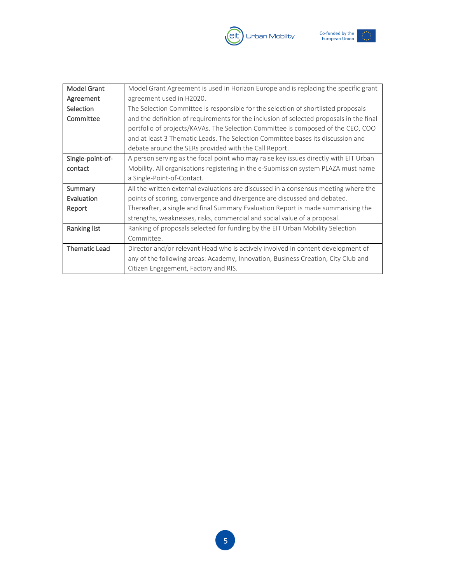



| Model Grant<br>Model Grant Agreement is used in Horizon Europe and is replacing the specific grant   |                                                                                      |
|------------------------------------------------------------------------------------------------------|--------------------------------------------------------------------------------------|
| Agreement                                                                                            | agreement used in H2020.                                                             |
| The Selection Committee is responsible for the selection of shortlisted proposals<br>Selection       |                                                                                      |
| and the definition of requirements for the inclusion of selected proposals in the final<br>Committee |                                                                                      |
| portfolio of projects/KAVAs. The Selection Committee is composed of the CEO, COO                     |                                                                                      |
|                                                                                                      | and at least 3 Thematic Leads. The Selection Committee bases its discussion and      |
|                                                                                                      | debate around the SERs provided with the Call Report.                                |
| Single-point-of-                                                                                     | A person serving as the focal point who may raise key issues directly with EIT Urban |
| Mobility. All organisations registering in the e-Submission system PLAZA must name<br>contact        |                                                                                      |
|                                                                                                      | a Single-Point-of-Contact.                                                           |
| Summary                                                                                              | All the written external evaluations are discussed in a consensus meeting where the  |
| Evaluation                                                                                           | points of scoring, convergence and divergence are discussed and debated.             |
| Report                                                                                               | Thereafter, a single and final Summary Evaluation Report is made summarising the     |
|                                                                                                      | strengths, weaknesses, risks, commercial and social value of a proposal.             |
| Ranking list                                                                                         | Ranking of proposals selected for funding by the EIT Urban Mobility Selection        |
|                                                                                                      | Committee.                                                                           |
| <b>Thematic Lead</b>                                                                                 | Director and/or relevant Head who is actively involved in content development of     |
|                                                                                                      | any of the following areas: Academy, Innovation, Business Creation, City Club and    |
|                                                                                                      | Citizen Engagement, Factory and RIS.                                                 |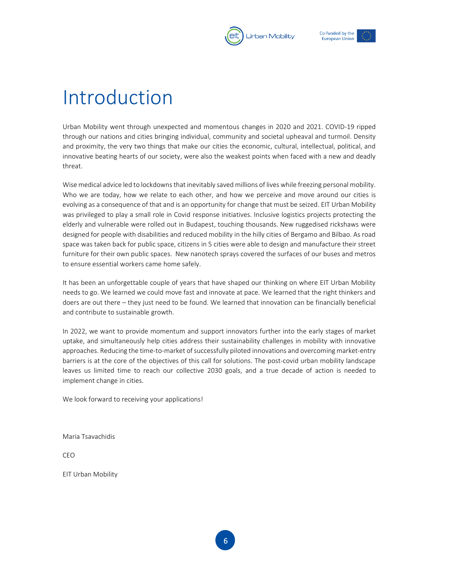



# <span id="page-6-0"></span>Introduction

Urban Mobility went through unexpected and momentous changes in 2020 and 2021. COVID-19 ripped through our nations and cities bringing individual, community and societal upheaval and turmoil. Density and proximity, the very two things that make our cities the economic, cultural, intellectual, political, and innovative beating hearts of our society, were also the weakest points when faced with a new and deadly threat.

Wise medical advice led to lockdowns that inevitably saved millions of lives while freezing personal mobility. Who we are today, how we relate to each other, and how we perceive and move around our cities is evolving as a consequence of that and is an opportunity for change that must be seized. EIT Urban Mobility was privileged to play a small role in Covid response initiatives. Inclusive logistics projects protecting the elderly and vulnerable were rolled out in Budapest, touching thousands. New ruggedised rickshaws were designed for people with disabilities and reduced mobility in the hilly cities of Bergamo and Bilbao. As road space was taken back for public space, citizens in 5 cities were able to design and manufacture their street furniture for their own public spaces. New nanotech sprays covered the surfaces of our buses and metros to ensure essential workers came home safely.

It has been an unforgettable couple of years that have shaped our thinking on where EIT Urban Mobility needs to go. We learned we could move fast and innovate at pace. We learned that the right thinkers and doers are out there – they just need to be found. We learned that innovation can be financially beneficial and contribute to sustainable growth.

In 2022, we want to provide momentum and support innovators further into the early stages of market uptake, and simultaneously help cities address their sustainability challenges in mobility with innovative approaches. Reducing the time-to-market of successfully piloted innovations and overcoming market-entry barriers is at the core of the objectives of this call for solutions. The post-covid urban mobility landscape leaves us limited time to reach our collective 2030 goals, and a true decade of action is needed to implement change in cities.

We look forward to receiving your applications!

Maria Tsavachidis

CEO

EIT Urban Mobility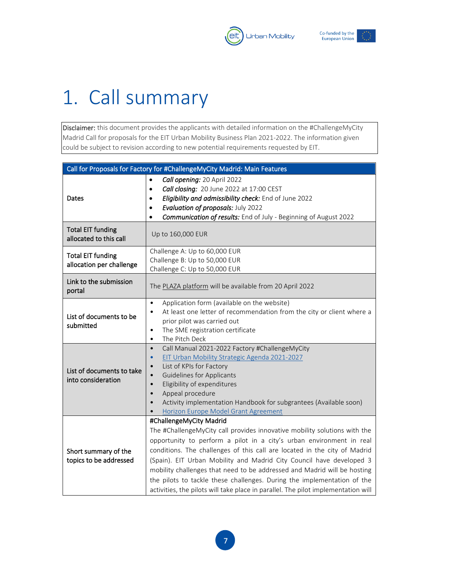



# <span id="page-7-0"></span>1. Call summary

Disclaimer: this document provides the applicants with detailed information on the #ChallengeMyCity Madrid Call for proposals for the EIT Urban Mobility Business Plan 2021-2022. The information given could be subject to revision according to new potential requirements requested by EIT.

| Call for Proposals for Factory for #ChallengeMyCity Madrid: Main Features |                                                                                                                                                                                                                                                                                                                                                                                                                                                                                                                                                                               |  |  |
|---------------------------------------------------------------------------|-------------------------------------------------------------------------------------------------------------------------------------------------------------------------------------------------------------------------------------------------------------------------------------------------------------------------------------------------------------------------------------------------------------------------------------------------------------------------------------------------------------------------------------------------------------------------------|--|--|
| Dates                                                                     | Call opening: 20 April 2022<br>Call closing: 20 June 2022 at 17:00 CEST<br>$\bullet$<br>Eligibility and admissibility check: End of June 2022<br>$\bullet$<br>Evaluation of proposals: July 2022<br>$\bullet$<br>Communication of results: End of July - Beginning of August 2022<br>$\bullet$                                                                                                                                                                                                                                                                                |  |  |
| <b>Total EIT funding</b><br>allocated to this call                        | Up to 160,000 EUR                                                                                                                                                                                                                                                                                                                                                                                                                                                                                                                                                             |  |  |
| <b>Total EIT funding</b><br>allocation per challenge                      | Challenge A: Up to 60,000 EUR<br>Challenge B: Up to 50,000 EUR<br>Challenge C: Up to 50,000 EUR                                                                                                                                                                                                                                                                                                                                                                                                                                                                               |  |  |
| Link to the submission<br>portal                                          | The PLAZA platform will be available from 20 April 2022                                                                                                                                                                                                                                                                                                                                                                                                                                                                                                                       |  |  |
| List of documents to be<br>submitted                                      | Application form (available on the website)<br>$\bullet$<br>At least one letter of recommendation from the city or client where a<br>$\bullet$<br>prior pilot was carried out<br>The SME registration certificate<br>$\bullet$<br>The Pitch Deck<br>$\bullet$                                                                                                                                                                                                                                                                                                                 |  |  |
| List of documents to take<br>into consideration                           | Call Manual 2021-2022 Factory #ChallengeMyCity<br>$\bullet$<br>EIT Urban Mobility Strategic Agenda 2021-2027<br>$\bullet$<br>List of KPIs for Factory<br>$\bullet$<br><b>Guidelines for Applicants</b><br>$\bullet$<br>Eligibility of expenditures<br>$\bullet$<br>Appeal procedure<br>$\bullet$<br>Activity implementation Handbook for subgrantees (Available soon)<br>$\bullet$<br>Horizon Europe Model Grant Agreement                                                                                                                                                    |  |  |
| Short summary of the<br>topics to be addressed                            | #ChallengeMyCity Madrid<br>The #ChallengeMyCity call provides innovative mobility solutions with the<br>opportunity to perform a pilot in a city's urban environment in real<br>conditions. The challenges of this call are located in the city of Madrid<br>(Spain). EIT Urban Mobility and Madrid City Council have developed 3<br>mobility challenges that need to be addressed and Madrid will be hosting<br>the pilots to tackle these challenges. During the implementation of the<br>activities, the pilots will take place in parallel. The pilot implementation will |  |  |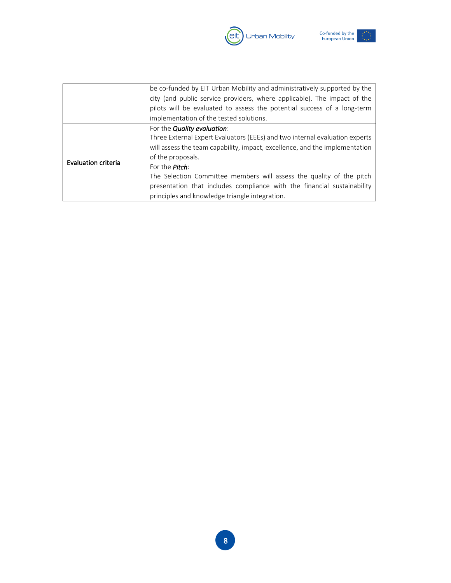



|                     | be co-funded by EIT Urban Mobility and administratively supported by the<br>city (and public service providers, where applicable). The impact of the |
|---------------------|------------------------------------------------------------------------------------------------------------------------------------------------------|
|                     | pilots will be evaluated to assess the potential success of a long-term                                                                              |
|                     | implementation of the tested solutions.                                                                                                              |
|                     | For the <b>Quality evaluation</b> :                                                                                                                  |
|                     | Three External Expert Evaluators (EEEs) and two internal evaluation experts                                                                          |
|                     | will assess the team capability, impact, excellence, and the implementation                                                                          |
| Evaluation criteria | of the proposals.                                                                                                                                    |
|                     | For the <b>Pitch</b> :                                                                                                                               |
|                     | The Selection Committee members will assess the quality of the pitch                                                                                 |
|                     | presentation that includes compliance with the financial sustainability                                                                              |
|                     | principles and knowledge triangle integration.                                                                                                       |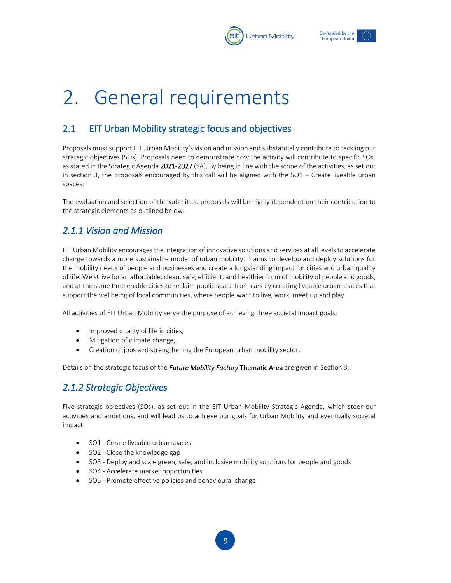



# <span id="page-9-0"></span>2. General requirements

# <span id="page-9-1"></span>2.1 EIT Urban Mobility strategic focus and objectives

Proposals must support EIT Urban Mobility's vision and mission and substantially contribute to tackling our strategic objectives (SOs). Proposals need to demonstrate how the activity will contribute to specific SOs. as stated in the Strategic Agenda 2021-2027 (SA). By being in line with the scope of the activities, as set out in section 3, the proposals encouraged by this call will be aligned with the SO1 – Create liveable urban spaces.

The evaluation and selection of the submitted proposals will be highly dependent on their contribution to the strategic elements as outlined below.

# <span id="page-9-2"></span>*2.1.1 Vision and Mission*

EIT Urban Mobility encourages the integration of innovative solutions and services at all levels to accelerate change towards a more sustainable model of urban mobility. It aims to develop and deploy solutions for the mobility needs of people and businesses and create a longstanding impact for cities and urban quality of life. We strive for an affordable, clean, safe, efficient, and healthier form of mobility of people and goods, and at the same time enable cities to reclaim public space from cars by creating liveable urban spaces that support the wellbeing of local communities, where people want to live, work, meet up and play.

All activities of EIT Urban Mobility serve the purpose of achieving three societal impact goals:

- Improved quality of life in cities,
- Mitigation of climate change,
- Creation of jobs and strengthening the European urban mobility sector.

Details on the strategic focus of the *Future Mobility Factory* Thematic Area are given in Section 3.

# <span id="page-9-3"></span>*2.1.2 Strategic Objectives*

Five strategic objectives (SOs), as set out in the EIT Urban Mobility Strategic Agenda, which steer our activities and ambitions, and will lead us to achieve our goals for Urban Mobility and eventually societal impact:

- SO1 Create liveable urban spaces
- SO2 Close the knowledge gap
- SO3 Deploy and scale green, safe, and inclusive mobility solutions for people and goods
- SO4 Accelerate market opportunities
- SO5 Promote effective policies and behavioural change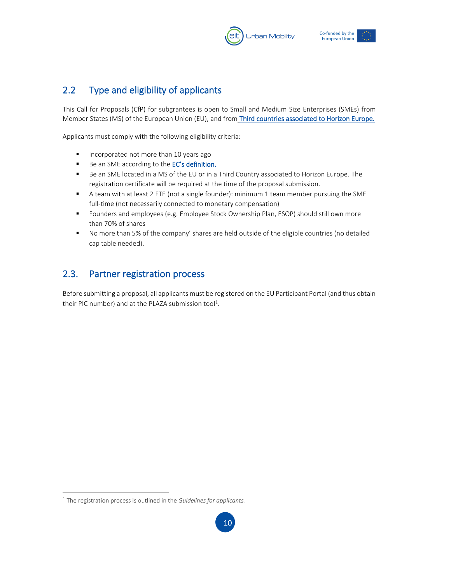



# <span id="page-10-0"></span>2.2 Type and eligibility of applicants

This Call for Proposals (CfP) for subgrantees is open to Small and Medium Size Enterprises (SMEs) from Member States (MS) of the European Union (EU), and from Third countries associated to Horizon Europe.

Applicants must comply with the following eligibility criteria:

- Incorporated not more than 10 years ago
- Be an SME according to the [EC's definition](https://ec.europa.eu/growth/smes/sme-definition_en).
- Be an SME located in a MS of the EU or in a Third Country associated to Horizon Europe. The registration certificate will be required at the time of the proposal submission.
- A team with at least 2 FTE (not a single founder): minimum 1 team member pursuing the SME full-time (not necessarily connected to monetary compensation)
- Founders and employees (e.g. Employee Stock Ownership Plan, ESOP) should still own more than 70% of shares
- No more than 5% of the company' shares are held outside of the eligible countries (no detailed cap table needed).

# <span id="page-10-1"></span>2.3. Partner registration process

Before submitting a proposal, all applicants must be registered on the EU Participant Portal (and thus obtain their PIC number) and at the PLAZA submission tool<sup>1</sup>.

<sup>1</sup> The registration process is outlined in the *Guidelines for applicants.*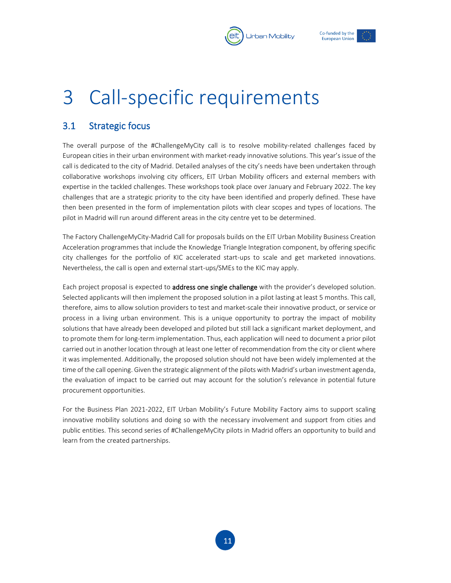



# <span id="page-11-0"></span>3 Call-specific requirements

# <span id="page-11-1"></span>3.1 Strategic focus

The overall purpose of the #ChallengeMyCity call is to resolve mobility-related challenges faced by European cities in their urban environment with market-ready innovative solutions. This year's issue of the call is dedicated to the city of Madrid. Detailed analyses of the city's needs have been undertaken through collaborative workshops involving city officers, EIT Urban Mobility officers and external members with expertise in the tackled challenges. These workshops took place over January and February 2022. The key challenges that are a strategic priority to the city have been identified and properly defined. These have then been presented in the form of implementation pilots with clear scopes and types of locations. The pilot in Madrid will run around different areas in the city centre yet to be determined.

The Factory ChallengeMyCity-Madrid Call for proposals builds on the EIT Urban Mobility Business Creation Acceleration programmes that include the Knowledge Triangle Integration component, by offering specific city challenges for the portfolio of KIC accelerated start-ups to scale and get marketed innovations. Nevertheless, the call is open and external start-ups/SMEs to the KIC may apply.

Each project proposal is expected to address one single challenge with the provider's developed solution. Selected applicants will then implement the proposed solution in a pilot lasting at least 5 months. This call, therefore, aims to allow solution providers to test and market-scale their innovative product, or service or process in a living urban environment. This is a unique opportunity to portray the impact of mobility solutions that have already been developed and piloted but still lack a significant market deployment, and to promote them for long-term implementation. Thus, each application will need to document a prior pilot carried out in another location through at least one letter of recommendation from the city or client where it was implemented. Additionally, the proposed solution should not have been widely implemented at the time of the call opening. Given the strategic alignment of the pilots with Madrid's urban investment agenda, the evaluation of impact to be carried out may account for the solution's relevance in potential future procurement opportunities.

For the Business Plan 2021-2022, EIT Urban Mobility's Future Mobility Factory aims to support scaling innovative mobility solutions and doing so with the necessary involvement and support from cities and public entities. This second series of #ChallengeMyCity pilots in Madrid offers an opportunity to build and learn from the created partnerships.

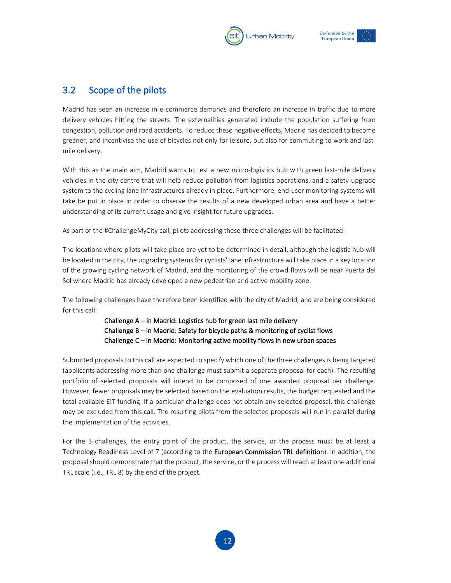



# <span id="page-12-0"></span>3.2 Scope of the pilots

Madrid has seen an increase in e-commerce demands and therefore an increase in traffic due to more delivery vehicles hitting the streets. The externalities generated include the population suffering from congestion, pollution and road accidents. To reduce these negative effects, Madrid has decided to become greener, and incentivise the use of bicycles not only for leisure, but also for commuting to work and lastmile delivery.

With this as the main aim, Madrid wants to test a new micro-logistics hub with green last-mile delivery vehicles in the city centre that will help reduce pollution from logistics operations, and a safety-upgrade system to the cycling lane infrastructures already in place. Furthermore, end-user monitoring systems will take be put in place in order to observe the results of a new developed urban area and have a better understanding of its current usage and give insight for future upgrades.

As part of the #ChallengeMyCity call, pilots addressing these three challenges will be facilitated.

The locations where pilots will take place are yet to be determined in detail, although the logistic hub will be located in the city, the upgrading systems for cyclists' lane infrastructure will take place in a key location of the growing cycling network of Madrid, and the monitoring of the crowd flows will be near Puerta del Sol where Madrid has already developed a new pedestrian and active mobility zone.

The following challenges have therefore been identified with the city of Madrid, and are being considered for this call:

> Challenge A – in Madrid: Logistics hub for green last mile delivery Challenge B – in Madrid: Safety for bicycle paths & monitoring of cyclist flows Challenge C – in Madrid: Monitoring active mobility flows in new urban spaces

Submitted proposals to this call are expected to specify which one of the three challenges is being targeted (applicants addressing more than one challenge must submit a separate proposal for each). The resulting portfolio of selected proposals will intend to be composed of one awarded proposal per challenge. However, fewer proposals may be selected based on the evaluation results, the budget requested and the total available EIT funding. If a particular challenge does not obtain any selected proposal, this challenge may be excluded from this call. The resulting pilots from the selected proposals will run in parallel during the implementation of the activities.

For the 3 challenges, the entry point of the product, the service, or the process must be at least a Technology Readiness Level of 7 (according to the [European Commission TRL definition\)](https://eitum.sharepoint.com/sites/Home/Shared%20Documents/KAVA%20&%20Grant%20Mgmt/BP%202022/Business%20Plan%202022/03%20Calls/Factory%20Calls/CMC_Madrid/Proofread/For%20both%20challenges,%20the%20entry%20point%20of%20the%20product,%20the%20service,%20or%20the%20process%20must%20be%20at%20least%20a%20Technology%20Readiness%20Level%20of%207%20(according%20to%20European%20Commission%20TRL%20definition).%20The%20proposal%20should%20demonstrate%20that%20the%20product,%20the%20service,%20or%20the%20process%20has%20reached%20at%20least%20one%20additional%20TRL%20scale%20(i.e.,%20TRL%208)%20by%20the%20end%20of%20the%20project.). In addition, the proposal should demonstrate that the product, the service, or the process will reach at least one additional TRL scale (i.e., TRL 8) by the end of the project.

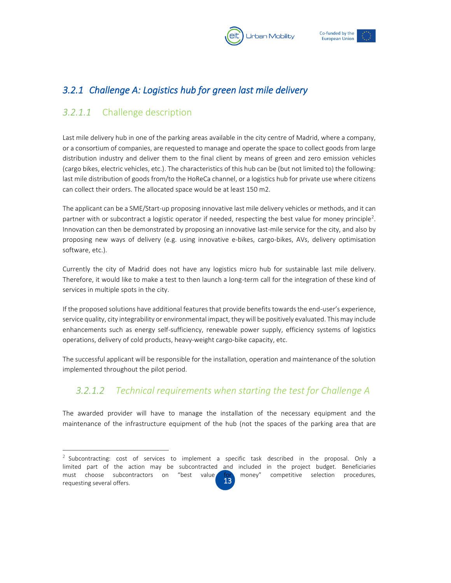



# <span id="page-13-0"></span>*3.2.1 Challenge A: Logistics hub for green last mile delivery*

# <span id="page-13-1"></span>*3.2.1.1* Challenge description

Last mile delivery hub in one of the parking areas available in the city centre of Madrid, where a company, or a consortium of companies, are requested to manage and operate the space to collect goods from large distribution industry and deliver them to the final client by means of green and zero emission vehicles (cargo bikes, electric vehicles, etc.). The characteristics of this hub can be (but not limited to) the following: last mile distribution of goods from/to the HoReCa channel, or a logistics hub for private use where citizens can collect their orders. The allocated space would be at least 150 m2.

The applicant can be a SME/Start-up proposing innovative last mile delivery vehicles or methods, and it can partner with or subcontract a logistic operator if needed, respecting the best value for money principle<sup>2</sup>. Innovation can then be demonstrated by proposing an innovative last-mile service for the city, and also by proposing new ways of delivery (e.g. using innovative e-bikes, cargo-bikes, AVs, delivery optimisation software, etc.).

Currently the city of Madrid does not have any logistics micro hub for sustainable last mile delivery. Therefore, it would like to make a test to then launch a long-term call for the integration of these kind of services in multiple spots in the city.

If the proposed solutions have additional features that provide benefits towards the end-user's experience, service quality, city integrability or environmental impact, they will be positively evaluated. This may include enhancements such as energy self-sufficiency, renewable power supply, efficiency systems of logistics operations, delivery of cold products, heavy-weight cargo-bike capacity, etc.

The successful applicant will be responsible for the installation, operation and maintenance of the solution implemented throughout the pilot period.

# *3.2.1.2 Technical requirements when starting the test for Challenge A*

The awarded provider will have to manage the installation of the necessary equipment and the maintenance of the infrastructure equipment of the hub (not the spaces of the parking area that are

<sup>13</sup>   $2$  Subcontracting: cost of services to implement a specific task described in the proposal. Only a limited part of the action may be subcontracted and included in the project budget. Beneficiaries must choose subcontractors on "best value for money" competitive selection procedures, requesting several offers.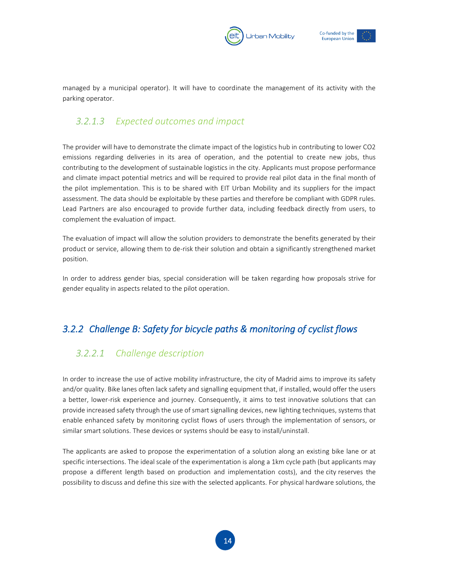



managed by a municipal operator). It will have to coordinate the management of its activity with the parking operator.

#### <span id="page-14-0"></span>*3.2.1.3 Expected outcomes and impact*

The provider will have to demonstrate the climate impact of the logistics hub in contributing to lower CO2 emissions regarding deliveries in its area of operation, and the potential to create new jobs, thus contributing to the development of sustainable logistics in the city. Applicants must propose performance and climate impact potential metrics and will be required to provide real pilot data in the final month of the pilot implementation. This is to be shared with EIT Urban Mobility and its suppliers for the impact assessment. The data should be exploitable by these parties and therefore be compliant with GDPR rules. Lead Partners are also encouraged to provide further data, including feedback directly from users, to complement the evaluation of impact.

The evaluation of impact will allow the solution providers to demonstrate the benefits generated by their product or service, allowing them to de-risk their solution and obtain a significantly strengthened market position.

In order to address gender bias, special consideration will be taken regarding how proposals strive for gender equality in aspects related to the pilot operation.

# <span id="page-14-1"></span>*3.2.2 Challenge B: Safety for bicycle paths & monitoring of cyclist flows*

# <span id="page-14-2"></span>*3.2.2.1 Challenge description*

In order to increase the use of active mobility infrastructure, the city of Madrid aims to improve its safety and/or quality. Bike lanes often lack safety and signalling equipment that, if installed, would offer the users a better, lower-risk experience and journey. Consequently, it aims to test innovative solutions that can provide increased safety through the use of smart signalling devices, new lighting techniques, systems that enable enhanced safety by monitoring cyclist flows of users through the implementation of sensors, or similar smart solutions. These devices or systems should be easy to install/uninstall.

The applicants are asked to propose the experimentation of a solution along an existing bike lane or at specific intersections. The ideal scale of the experimentation is along a 1km cycle path (but applicants may propose a different length based on production and implementation costs), and the city reserves the possibility to discuss and define this size with the selected applicants. For physical hardware solutions, the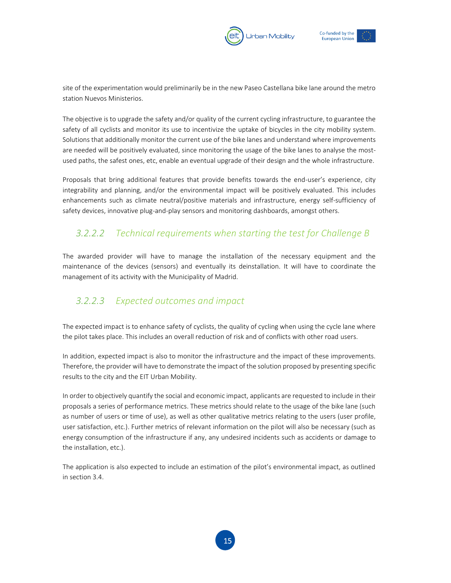



site of the experimentation would preliminarily be in the new Paseo Castellana bike lane around the metro station Nuevos Ministerios.

The objective is to upgrade the safety and/or quality of the current cycling infrastructure, to guarantee the safety of all cyclists and monitor its use to incentivize the uptake of bicycles in the city mobility system. Solutions that additionally monitor the current use of the bike lanes and understand where improvements are needed will be positively evaluated, since monitoring the usage of the bike lanes to analyse the mostused paths, the safest ones, etc, enable an eventual upgrade of their design and the whole infrastructure.

Proposals that bring additional features that provide benefits towards the end-user's experience, city integrability and planning, and/or the environmental impact will be positively evaluated. This includes enhancements such as climate neutral/positive materials and infrastructure, energy self-sufficiency of safety devices, innovative plug-and-play sensors and monitoring dashboards, amongst others.

#### *3.2.2.2 Technical requirements when starting the test for Challenge B*

The awarded provider will have to manage the installation of the necessary equipment and the maintenance of the devices (sensors) and eventually its deinstallation. It will have to coordinate the management of its activity with the Municipality of Madrid.

# <span id="page-15-0"></span>*3.2.2.3 Expected outcomes and impact*

The expected impact is to enhance safety of cyclists, the quality of cycling when using the cycle lane where the pilot takes place. This includes an overall reduction of risk and of conflicts with other road users.

In addition, expected impact is also to monitor the infrastructure and the impact of these improvements. Therefore, the provider will have to demonstrate the impact of the solution proposed by presenting specific results to the city and the EIT Urban Mobility.

In order to objectively quantify the social and economic impact, applicants are requested to include in their proposals a series of performance metrics. These metrics should relate to the usage of the bike lane (such as number of users or time of use), as well as other qualitative metrics relating to the users (user profile, user satisfaction, etc.). Further metrics of relevant information on the pilot will also be necessary (such as energy consumption of the infrastructure if any, any undesired incidents such as accidents or damage to the installation, etc.).

The application is also expected to include an estimation of the pilot's environmental impact, as outlined in section 3.4.

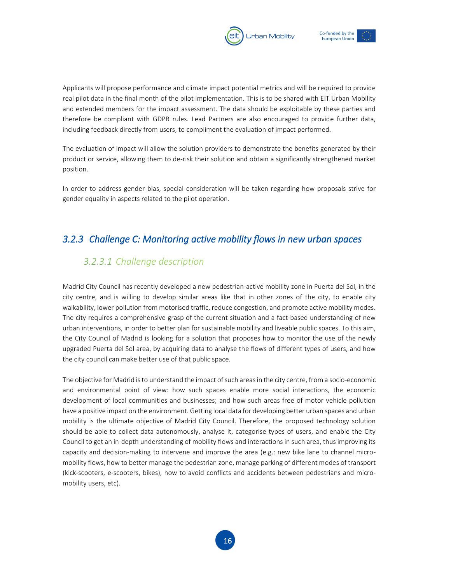



Applicants will propose performance and climate impact potential metrics and will be required to provide real pilot data in the final month of the pilot implementation. This is to be shared with EIT Urban Mobility and extended members for the impact assessment. The data should be exploitable by these parties and therefore be compliant with GDPR rules. Lead Partners are also encouraged to provide further data, including feedback directly from users, to compliment the evaluation of impact performed.

The evaluation of impact will allow the solution providers to demonstrate the benefits generated by their product or service, allowing them to de-risk their solution and obtain a significantly strengthened market position.

In order to address gender bias, special consideration will be taken regarding how proposals strive for gender equality in aspects related to the pilot operation.

#### <span id="page-16-1"></span><span id="page-16-0"></span>*3.2.3 Challenge C: Monitoring active mobility flows in new urban spaces*

#### *3.2.3.1 Challenge description*

Madrid City Council has recently developed a new pedestrian-active mobility zone in Puerta del Sol, in the city centre, and is willing to develop similar areas like that in other zones of the city, to enable city walkability, lower pollution from motorised traffic, reduce congestion, and promote active mobility modes. The city requires a comprehensive grasp of the current situation and a fact-based understanding of new urban interventions, in order to better plan for sustainable mobility and liveable public spaces. To this aim, the City Council of Madrid is looking for a solution that proposes how to monitor the use of the newly upgraded Puerta del Sol area, by acquiring data to analyse the flows of different types of users, and how the city council can make better use of that public space.

The objective for Madrid is to understand the impact of such areas in the city centre, from a socio-economic and environmental point of view: how such spaces enable more social interactions, the economic development of local communities and businesses; and how such areas free of motor vehicle pollution have a positive impact on the environment. Getting local data for developing better urban spaces and urban mobility is the ultimate objective of Madrid City Council. Therefore, the proposed technology solution should be able to collect data autonomously, analyse it, categorise types of users, and enable the City Council to get an in-depth understanding of mobility flows and interactions in such area, thus improving its capacity and decision-making to intervene and improve the area (e.g.: new bike lane to channel micromobility flows, how to better manage the pedestrian zone, manage parking of different modes of transport (kick-scooters, e-scooters, bikes), how to avoid conflicts and accidents between pedestrians and micromobility users, etc).

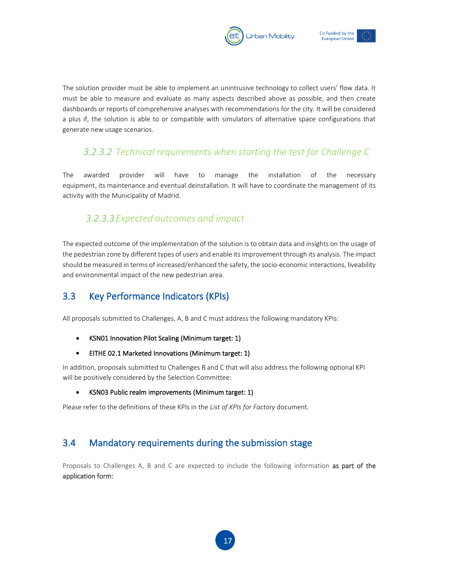



The solution provider must be able to implement an unintrusive technology to collect users' flow data. It must be able to measure and evaluate as many aspects described above as possible, and then create dashboards or reports of comprehensive analyses with recommendations for the city. It will be considered a plus if, the solution is able to or compatible with simulators of alternative space configurations that generate new usage scenarios.

# *3.2.3.2 Technical requirements when starting the test for Challenge C*

The awarded provider will have to manage the installation of the necessary equipment, its maintenance and eventual deinstallation. It will have to coordinate the management of its activity with the Municipality of Madrid.

#### <span id="page-17-0"></span>*3.2.3.3Expected outcomes and impact*

The expected outcome of the implementation of the solution is to obtain data and insights on the usage of the pedestrian zone by different types of users and enable its improvement through its analysis. The impact should be measured in terms of increased/enhanced the safety, the socio-economic interactions, liveability and environmental impact of the new pedestrian area.

# <span id="page-17-1"></span>3.3 Key Performance Indicators (KPIs)

All proposals submitted to Challenges, A, B and C must address the following mandatory KPIs:

- KSN01 Innovation Pilot Scaling (Minimum target: 1)
- EITHE 02.1 Marketed Innovations (Minimum target: 1)

In addition, proposals submitted to Challenges B and C that will also address the following optional KPI will be positively considered by the Selection Committee:

• KSN03 Public realm improvements (Minimum target: 1)

Please refer to the definitions of these KPIs in the *List of KPIs for Factory* document.

# <span id="page-17-2"></span>3.4 Mandatory requirements during the submission stage

Proposals to Challenges A, B and C are expected to include the following information as part of the application form: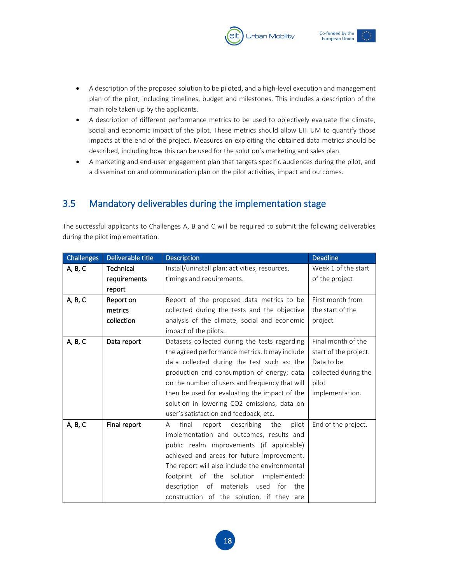- A description of the proposed solution to be piloted, and a high-level execution and management plan of the pilot, including timelines, budget and milestones. This includes a description of the main role taken up by the applicants.
- A description of different performance metrics to be used to objectively evaluate the climate, social and economic impact of the pilot. These metrics should allow EIT UM to quantify those impacts at the end of the project. Measures on exploiting the obtained data metrics should be described, including how this can be used for the solution's marketing and sales plan.
- A marketing and end-user engagement plan that targets specific audiences during the pilot, and a dissemination and communication plan on the pilot activities, impact and outcomes.

# <span id="page-18-0"></span>3.5 Mandatory deliverables during the implementation stage

The successful applicants to Challenges A, B and C will be required to submit the following deliverables during the pilot implementation.

| <b>Challenges</b> | Deliverable title | <b>Description</b>                              | <b>Deadline</b>       |
|-------------------|-------------------|-------------------------------------------------|-----------------------|
| A, B, C           | Technical         | Install/uninstall plan: activities, resources,  | Week 1 of the start   |
|                   | requirements      | timings and requirements.                       | of the project        |
|                   | report            |                                                 |                       |
| A, B, C           | Report on         | Report of the proposed data metrics to be       | First month from      |
|                   | metrics           | collected during the tests and the objective    | the start of the      |
|                   | collection        | analysis of the climate, social and economic    | project               |
|                   |                   | impact of the pilots.                           |                       |
| A, B, C           | Data report       | Datasets collected during the tests regarding   | Final month of the    |
|                   |                   | the agreed performance metrics. It may include  | start of the project. |
|                   |                   | data collected during the test such as: the     | Data to be            |
|                   |                   | production and consumption of energy; data      | collected during the  |
|                   |                   | on the number of users and frequency that will  | pilot                 |
|                   |                   | then be used for evaluating the impact of the   | implementation.       |
|                   |                   | solution in lowering CO2 emissions, data on     |                       |
|                   |                   | user's satisfaction and feedback, etc.          |                       |
| A, B, C           | Final report      | report describing<br>final<br>the<br>pilot<br>A | End of the project.   |
|                   |                   | implementation and outcomes, results and        |                       |
|                   |                   | public realm improvements (if applicable)       |                       |
|                   |                   | achieved and areas for future improvement.      |                       |
|                   |                   | The report will also include the environmental  |                       |
|                   |                   | footprint of the solution<br>implemented:       |                       |
|                   |                   | description of materials used for the           |                       |
|                   |                   | construction of the solution, if they are       |                       |



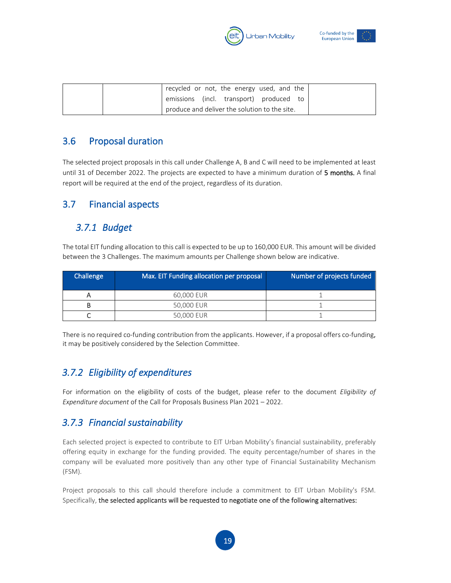



| recycled or not, the energy used, and the     |
|-----------------------------------------------|
| emissions (incl. transport) produced to       |
| produce and deliver the solution to the site. |

# <span id="page-19-0"></span>3.6 Proposal duration

The selected project proposals in this call under Challenge A, B and C will need to be implemented at least until 31 of December 2022. The projects are expected to have a minimum duration of 5 months. A final report will be required at the end of the project, regardless of its duration.

#### <span id="page-19-1"></span>3.7 Financial aspects

# <span id="page-19-2"></span>*3.7.1 Budget*

The total EIT funding allocation to this call is expected to be up to 160,000 EUR. This amount will be divided between the 3 Challenges. The maximum amounts per Challenge shown below are indicative.

| Challenge | <b>Max. EIT Funding allocation per proposal</b> | Number of projects funded |
|-----------|-------------------------------------------------|---------------------------|
|           | 60,000 EUR                                      |                           |
|           | 50,000 EUR                                      |                           |
|           | 50,000 EUR                                      |                           |

There is no required co-funding contribution from the applicants. However, if a proposal offers co-funding, it may be positively considered by the Selection Committee.

# <span id="page-19-3"></span>*3.7.2 Eligibility of expenditures*

For information on the eligibility of costs of the budget, please refer to the document *Eligibility of Expenditure document* of the Call for Proposals Business Plan 2021 – 2022.

# <span id="page-19-4"></span>*3.7.3 Financial sustainability*

Each selected project is expected to contribute to EIT Urban Mobility's financial sustainability, preferably offering equity in exchange for the funding provided. The equity percentage/number of shares in the company will be evaluated more positively than any other type of Financial Sustainability Mechanism (FSM).

Project proposals to this call should therefore include a commitment to EIT Urban Mobility's FSM. Specifically, the selected applicants will be requested to negotiate one of the following alternatives:

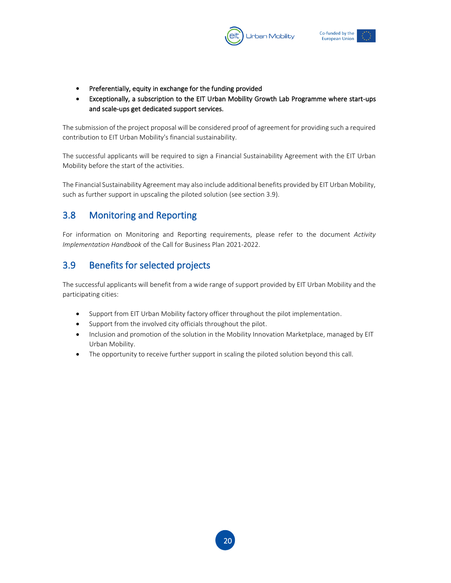



- Preferentially, equity in exchange for the funding provided
- Exceptionally, a subscription to the EIT Urban Mobility Growth Lab Programme where start-ups and scale-ups get dedicated support services.

The submission of the project proposal will be considered proof of agreement for providing such a required contribution to EIT Urban Mobility's financial sustainability.

The successful applicants will be required to sign a Financial Sustainability Agreement with the EIT Urban Mobility before the start of the activities.

The Financial Sustainability Agreement may also include additional benefits provided by EIT Urban Mobility, such as further support in upscaling the piloted solution (see section 3.9).

# <span id="page-20-0"></span>3.8 Monitoring and Reporting

For information on Monitoring and Reporting requirements, please refer to the document *Activity Implementation Handbook* of the Call for Business Plan 2021-2022.

# <span id="page-20-1"></span>3.9 Benefits for selected projects

The successful applicants will benefit from a wide range of support provided by EIT Urban Mobility and the participating cities:

- Support from EIT Urban Mobility factory officer throughout the pilot implementation.
- Support from the involved city officials throughout the pilot.
- Inclusion and promotion of the solution in the Mobility Innovation Marketplace, managed by EIT Urban Mobility.
- The opportunity to receive further support in scaling the piloted solution beyond this call.

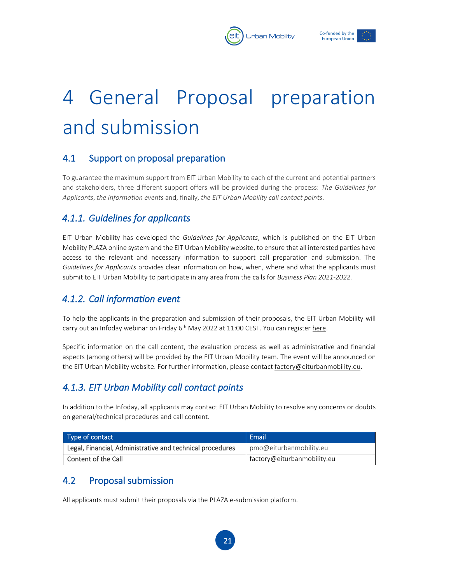



# <span id="page-21-0"></span>4 General Proposal preparation and submission

# <span id="page-21-1"></span>4.1 Support on proposal preparation

To guarantee the maximum support from EIT Urban Mobility to each of the current and potential partners and stakeholders, three different support offers will be provided during the process: *The Guidelines for Applicants*, *the information events* and, finally, *the EIT Urban Mobility call contact points*.

# <span id="page-21-2"></span>*4.1.1. Guidelines for applicants*

EIT Urban Mobility has developed the *Guidelines for Applicants*, which is published on the EIT Urban Mobility PLAZA online system and the EIT Urban Mobility website, to ensure that all interested parties have access to the relevant and necessary information to support call preparation and submission. The *Guidelines for Applicants* provides clear information on how, when, where and what the applicants must submit to EIT Urban Mobility to participate in any area from the calls for *Business Plan 2021-2022.*

# <span id="page-21-3"></span>*4.1.2. Call information event*

To help the applicants in the preparation and submission of their proposals, the EIT Urban Mobility will carry out an Infoday webinar on Friday 6<sup>th</sup> May 2022 at 11:00 CEST. You can register [here.](https://eiturbanmobility-eu.zoom.us/webinar/register/WN_ha9T7730SPCdgz83IHRaRw)

Specific information on the call content, the evaluation process as well as administrative and financial aspects (among others) will be provided by the EIT Urban Mobility team. The event will be announced on the EIT Urban Mobility website. For further information, please contact [factory@eiturbanmobility.eu](mailto:factory@eiturbanmobility.eu).

# <span id="page-21-4"></span>*4.1.3. EIT Urban Mobility call contact points*

In addition to the Infoday, all applicants may contact EIT Urban Mobility to resolve any concerns or doubts on general/technical procedures and call content.

| Type of contact                                           | Email                       |  |
|-----------------------------------------------------------|-----------------------------|--|
| Legal, Financial, Administrative and technical procedures | pmo@eiturbanmobility.eu     |  |
| Content of the Call                                       | factory@eiturbanmobility.eu |  |

# <span id="page-21-5"></span>4.2 Proposal submission

All applicants must submit their proposals via the PLAZA e-submission platform.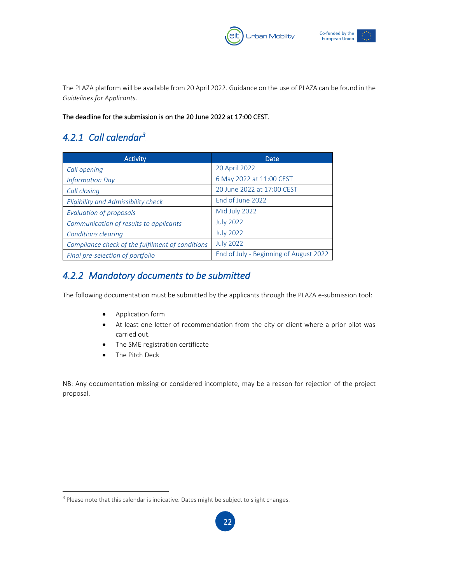



The PLAZA platform will be available from 20 April 2022. Guidance on the use of PLAZA can be found in the *Guidelines for Applicants*.

#### The deadline for the submission is on the 20 June 2022 at 17:00 CEST.

# <span id="page-22-0"></span>*4.2.1 Call calendar<sup>3</sup>*

| <b>Activity</b>                                  | Date                                   |
|--------------------------------------------------|----------------------------------------|
| Call opening                                     | 20 April 2022                          |
| <b>Information Day</b>                           | 6 May 2022 at 11:00 CEST               |
| Call closing                                     | 20 June 2022 at 17:00 CEST             |
| Eligibility and Admissibility check              | End of June 2022                       |
| <b>Evaluation of proposals</b>                   | Mid July 2022                          |
| Communication of results to applicants           | <b>July 2022</b>                       |
| <b>Conditions clearing</b>                       | <b>July 2022</b>                       |
| Compliance check of the fulfilment of conditions | <b>July 2022</b>                       |
| Final pre-selection of portfolio                 | End of July - Beginning of August 2022 |

# <span id="page-22-1"></span>*4.2.2 Mandatory documents to be submitted*

The following documentation must be submitted by the applicants through the PLAZA e-submission tool:

- Application form
- At least one letter of recommendation from the city or client where a prior pilot was carried out.
- The SME registration certificate
- The Pitch Deck

NB: Any documentation missing or considered incomplete, may be a reason for rejection of the project proposal.

 $3$  Please note that this calendar is indicative. Dates might be subject to slight changes.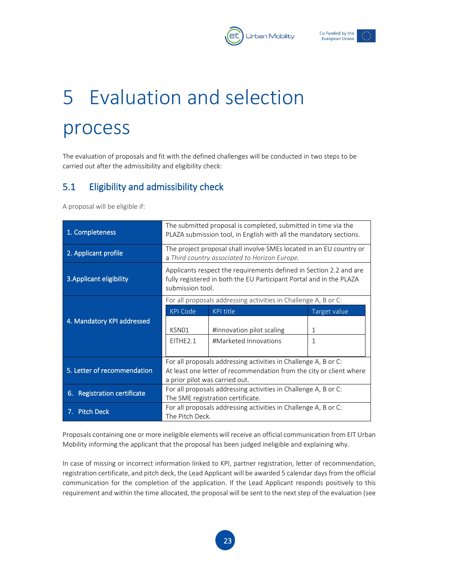



# <span id="page-23-0"></span>5 Evaluation and selection process

The evaluation of proposals and fit with the defined challenges will be conducted in two steps to be carried out after the admissibility and eligibility check:

# <span id="page-23-1"></span>5.1 Eligibility and admissibility check

A proposal will be eligible if:

| 1. Completeness                       | The submitted proposal is completed, submitted in time via the<br>PLAZA submission tool, in English with all the mandatory sections.                          |                                                                 |              |
|---------------------------------------|---------------------------------------------------------------------------------------------------------------------------------------------------------------|-----------------------------------------------------------------|--------------|
| 2. Applicant profile                  | The project proposal shall involve SMEs located in an EU country or<br>a Third country associated to Horizon Europe.                                          |                                                                 |              |
| 3. Applicant eligibility              | Applicants respect the requirements defined in Section 2.2 and are<br>fully registered in both the EU Participant Portal and in the PLAZA<br>submission tool. |                                                                 |              |
|                                       |                                                                                                                                                               | For all proposals addressing activities in Challenge A, B or C: |              |
|                                       | <b>KPI Code</b>                                                                                                                                               | <b>KPI title</b>                                                | Target value |
| 4. Mandatory KPI addressed            | KSN01                                                                                                                                                         | #Innovation pilot scaling                                       | 1            |
|                                       | EITHE <sub>2.1</sub>                                                                                                                                          | #Marketed Innovations                                           | 1            |
|                                       | For all proposals addressing activities in Challenge A, B or C:                                                                                               |                                                                 |              |
| 5. Letter of recommendation           | At least one letter of recommendation from the city or client where<br>a prior pilot was carried out.                                                         |                                                                 |              |
| <b>Registration certificate</b><br>6. | For all proposals addressing activities in Challenge A, B or C:<br>The SME registration certificate.                                                          |                                                                 |              |
| <b>Pitch Deck</b><br>7. .             | For all proposals addressing activities in Challenge A, B or C:<br>The Pitch Deck.                                                                            |                                                                 |              |

Proposals containing one or more ineligible elements will receive an official communication from EIT Urban Mobility informing the applicant that the proposal has been judged ineligible and explaining why.

In case of missing or incorrect information linked to KPI, partner registration, letter of recommendation, registration certificate, and pitch deck, the Lead Applicant will be awarded 5 calendar days from the official communication for the completion of the application. If the Lead Applicant responds positively to this requirement and within the time allocated, the proposal will be sent to the next step of the evaluation (see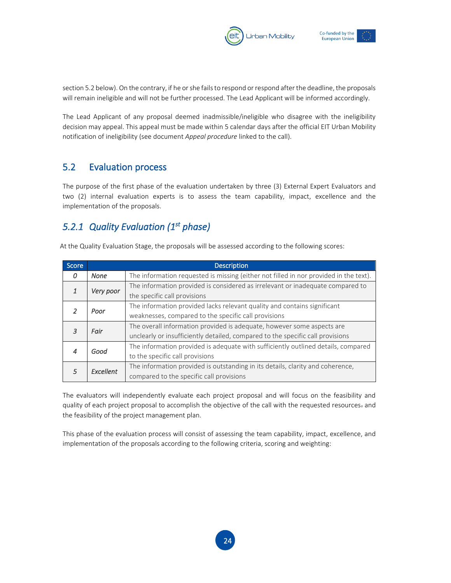



section 5.2 below). On the contrary, if he or she fails to respond or respond after the deadline, the proposals will remain ineligible and will not be further processed. The Lead Applicant will be informed accordingly.

The Lead Applicant of any proposal deemed inadmissible/ineligible who disagree with the ineligibility decision may appeal. This appeal must be made within 5 calendar days after the official EIT Urban Mobility notification of ineligibility (see document *Appeal procedure* linked to the call).

# <span id="page-24-0"></span>5.2 Evaluation process

The purpose of the first phase of the evaluation undertaken by three (3) External Expert Evaluators and two (2) internal evaluation experts is to assess the team capability, impact, excellence and the implementation of the proposals.

# <span id="page-24-1"></span>*5.2.1 Quality Evaluation (1st phase)*

| <b>Score</b> |                                 | <b>Description</b>                                                                    |
|--------------|---------------------------------|---------------------------------------------------------------------------------------|
| 0            | <b>None</b>                     | The information requested is missing (either not filled in nor provided in the text). |
|              |                                 | The information provided is considered as irrelevant or inadequate compared to        |
| Very poor    | the specific call provisions    |                                                                                       |
|              | Poor                            | The information provided lacks relevant quality and contains significant              |
|              |                                 | weaknesses, compared to the specific call provisions                                  |
|              | Fair                            | The overall information provided is adequate, however some aspects are                |
|              |                                 | unclearly or insufficiently detailed, compared to the specific call provisions        |
|              | Good                            | The information provided is adequate with sufficiently outlined details, compared     |
|              | to the specific call provisions |                                                                                       |
|              | Excellent                       | The information provided is outstanding in its details, clarity and coherence,        |
|              |                                 | compared to the specific call provisions                                              |

At the Quality Evaluation Stage, the proposals will be assessed according to the following scores:

The evaluators will independently evaluate each project proposal and will focus on the feasibility and quality of each project proposal to accomplish the objective of the call with the requested resources- and the feasibility of the project management plan.

This phase of the evaluation process will consist of assessing the team capability, impact, excellence, and implementation of the proposals according to the following criteria, scoring and weighting:

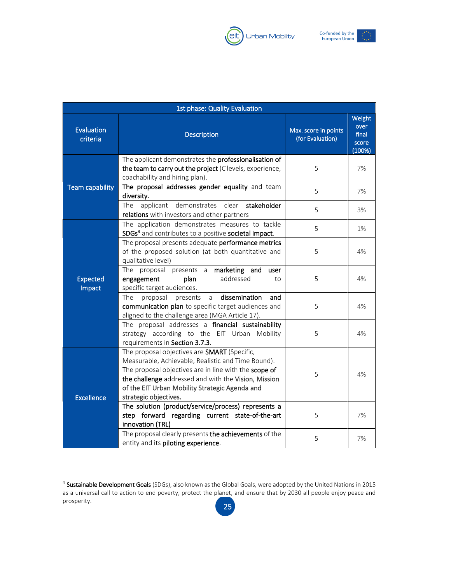



| 1st phase: Quality Evaluation |                                                                                                                                                                                                                                                                                                |                                          |                                            |
|-------------------------------|------------------------------------------------------------------------------------------------------------------------------------------------------------------------------------------------------------------------------------------------------------------------------------------------|------------------------------------------|--------------------------------------------|
| <b>Evaluation</b><br>criteria | <b>Description</b>                                                                                                                                                                                                                                                                             | Max. score in points<br>(for Evaluation) | Weight<br>over<br>final<br>score<br>(100%) |
|                               | The applicant demonstrates the professionalisation of<br>the team to carry out the project (C levels, experience,<br>coachability and hiring plan).                                                                                                                                            | 5                                        | 7%                                         |
| Team capability               | The proposal addresses gender equality and team<br>diversity.                                                                                                                                                                                                                                  | 5                                        | 7%                                         |
|                               | clear<br>The<br>applicant<br>demonstrates<br>stakeholder<br>relations with investors and other partners                                                                                                                                                                                        | 5                                        | 3%                                         |
|                               | The application demonstrates measures to tackle<br>SDGs <sup>4</sup> and contributes to a positive societal impact.                                                                                                                                                                            | 5                                        | 1%                                         |
|                               | The proposal presents adequate performance metrics<br>of the proposed solution (at both quantitative and<br>qualitative level)                                                                                                                                                                 | 5                                        | 4%                                         |
| <b>Expected</b><br>Impact     | proposal presents a marketing and<br>The<br>user<br>addressed<br>engagement<br>plan<br>to<br>specific target audiences.                                                                                                                                                                        | 5                                        | 4%                                         |
|                               | dissemination<br>The<br>proposal<br>presents<br>a<br>and<br>communication plan to specific target audiences and<br>aligned to the challenge area (MGA Article 17).                                                                                                                             | 5                                        | 4%                                         |
|                               | The proposal addresses a financial sustainability<br>strategy according to the EIT Urban Mobility<br>requirements in Section 3.7.3.                                                                                                                                                            | 5                                        | 4%                                         |
| <b>Excellence</b>             | The proposal objectives are SMART (Specific,<br>Measurable, Achievable, Realistic and Time Bound).<br>The proposal objectives are in line with the scope of<br>the challenge addressed and with the Vision, Mission<br>of the EIT Urban Mobility Strategic Agenda and<br>strategic objectives. | 5                                        | 4%                                         |
|                               | The solution (product/service/process) represents a<br>step forward regarding current state-of-the-art<br>innovation (TRL)                                                                                                                                                                     | 5                                        | 7%                                         |
|                               | The proposal clearly presents the achievements of the<br>entity and its piloting experience.                                                                                                                                                                                                   | 5                                        | 7%                                         |

<sup>&</sup>lt;sup>4</sup> Sustainable Development Goals (SDGs), also known as the Global Goals, were adopted by the United Nations in 2015 as a universal call to action to end poverty, protect the planet, and ensure that by 2030 all people enjoy peace and prosperity.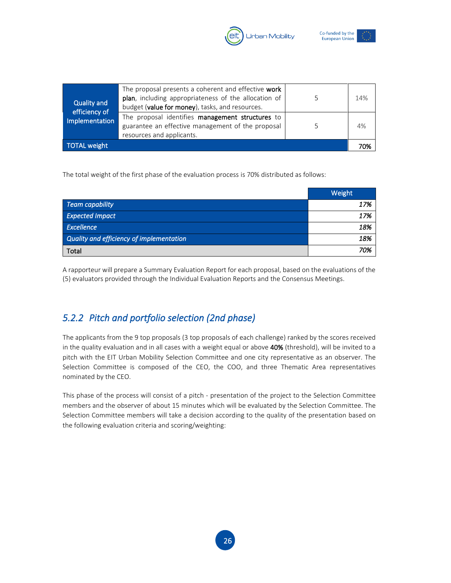



| <b>TOTAL weight</b>          | resources and applicants.                                                                                                                                      | 70% |
|------------------------------|----------------------------------------------------------------------------------------------------------------------------------------------------------------|-----|
| Implementation               | The proposal identifies management structures to<br>guarantee an effective management of the proposal                                                          | 4%  |
| Quality and<br>efficiency of | The proposal presents a coherent and effective work<br>plan, including appropriateness of the allocation of<br>budget (value for money), tasks, and resources. | 14% |

The total weight of the first phase of the evaluation process is 70% distributed as follows:

|                                          | Weight |
|------------------------------------------|--------|
| Team capability                          | 17%    |
| <b>Expected Impact</b>                   | 17%    |
| Excellence                               | 18%    |
| Quality and efficiency of implementation | 18%    |
| Total                                    | 70%    |

A rapporteur will prepare a Summary Evaluation Report for each proposal, based on the evaluations of the (5) evaluators provided through the Individual Evaluation Reports and the Consensus Meetings.

# <span id="page-26-0"></span>*5.2.2 Pitch and portfolio selection (2nd phase)*

The applicants from the 9 top proposals (3 top proposals of each challenge) ranked by the scores received in the quality evaluation and in all cases with a weight equal or above 40% (threshold), will be invited to a pitch with the EIT Urban Mobility Selection Committee and one city representative as an observer. The Selection Committee is composed of the CEO, the COO, and three Thematic Area representatives nominated by the CEO.

This phase of the process will consist of a pitch - presentation of the project to the Selection Committee members and the observer of about 15 minutes which will be evaluated by the Selection Committee. The Selection Committee members will take a decision according to the quality of the presentation based on the following evaluation criteria and scoring/weighting: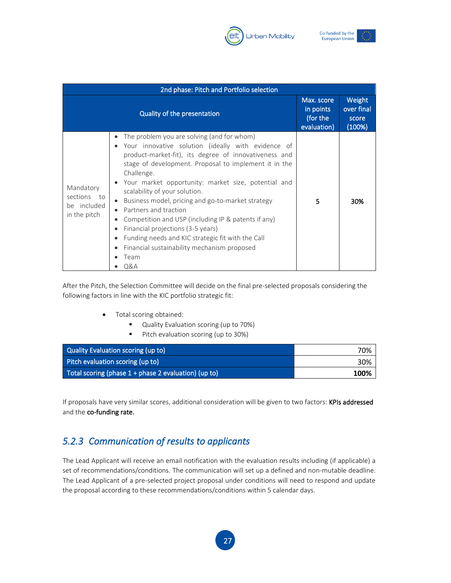



| 2nd phase: Pitch and Portfolio selection                |                                                                                                                                                                                                                                                                                                                                                                                                                                                                                                                                                                                                                                    |                                                    |                                         |
|---------------------------------------------------------|------------------------------------------------------------------------------------------------------------------------------------------------------------------------------------------------------------------------------------------------------------------------------------------------------------------------------------------------------------------------------------------------------------------------------------------------------------------------------------------------------------------------------------------------------------------------------------------------------------------------------------|----------------------------------------------------|-----------------------------------------|
|                                                         | Quality of the presentation                                                                                                                                                                                                                                                                                                                                                                                                                                                                                                                                                                                                        | Max. score<br>in points<br>(for the<br>evaluation) | Weight<br>over final<br>score<br>(100%) |
| Mandatory<br>sections to<br>be included<br>in the pitch | The problem you are solving (and for whom)<br>Your innovative solution (ideally with evidence of<br>product-market-fit), its degree of innovativeness and<br>stage of development. Proposal to implement it in the<br>Challenge.<br>Your market opportunity: market size, potential and<br>scalability of your solution.<br>Business model, pricing and go-to-market strategy<br>$\bullet$<br>Partners and traction<br>Competition and USP (including IP & patents if any)<br>Financial projections (3-5 years)<br>Funding needs and KIC strategic fit with the Call<br>Financial sustainability mechanism proposed<br>Team<br>Q&A | 5                                                  | 30%                                     |

After the Pitch, the Selection Committee will decide on the final pre-selected proposals considering the following factors in line with the KIC portfolio strategic fit:

- Total scoring obtained:
	- Quality Evaluation scoring (up to 70%)
	- Pitch evaluation scoring (up to 30%)

| Quality Evaluation scoring (up to)                     | 70%  |
|--------------------------------------------------------|------|
| Pitch evaluation scoring (up to)                       | 30%  |
| Total scoring (phase $1 +$ phase 2 evaluation) (up to) | 100% |

If proposals have very similar scores, additional consideration will be given to two factors: KPIs addressed and the co-funding rate.

# <span id="page-27-0"></span>*5.2.3 Communication of results to applicants*

The Lead Applicant will receive an email notification with the evaluation results including (if applicable) a set of recommendations/conditions. The communication will set up a defined and non-mutable deadline. The Lead Applicant of a pre-selected project proposal under conditions will need to respond and update the proposal according to these recommendations/conditions within 5 calendar days.